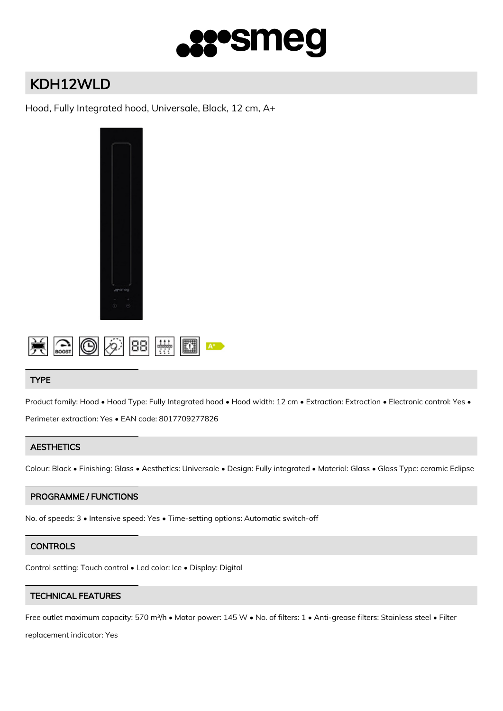

# KDH12WLD

Hood, Fully Integrated hood, Universale, Black, 12 cm, A+





## TYPE

Product family: Hood • Hood Type: Fully Integrated hood • Hood width: 12 cm • Extraction: Extraction • Electronic control: Yes • Perimeter extraction: Yes • EAN code: 8017709277826

## **AESTHETICS**

Colour: Black • Finishing: Glass • Aesthetics: Universale • Design: Fully integrated • Material: Glass • Glass Type: ceramic Eclipse

#### PROGRAMME / FUNCTIONS

No. of speeds: 3 • Intensive speed: Yes • Time-setting options: Automatic switch-off

## **CONTROLS**

Control setting: Touch control • Led color: Ice • Display: Digital

## TECHNICAL FEATURES

Free outlet maximum capacity: 570 m3/h • Motor power: 145 W • No. of filters: 1 • Anti-grease filters: Stainless steel • Filter

replacement indicator: Yes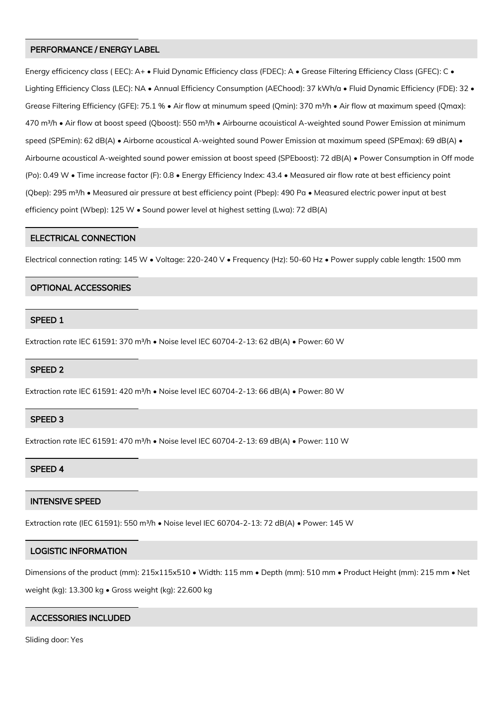#### PERFORMANCE / ENERGY LABEL

Energy efficicency class ( EEC): A+ • Fluid Dynamic Efficiency class (FDEC): A • Grease Filtering Efficiency Class (GFEC): C • Lighting Efficiency Class (LEC): NA • Annual Efficiency Consumption (AEChood): 37 kWh/a • Fluid Dynamic Efficiency (FDE): 32 • Grease Filtering Efficiency (GFE): 75.1 % · Air flow at minumum speed (Qmin): 370 m<sup>3</sup>/h · Air flow at maximum speed (Qmax): 470 m<sup>3</sup>/h • Air flow at boost speed (Qboost): 550 m<sup>3</sup>/h • Airbourne acouistical A-weighted sound Power Emission at minimum speed (SPEmin): 62 dB(A) • Airborne acoustical A-weighted sound Power Emission at maximum speed (SPEmax): 69 dB(A) • Airbourne acoustical A-weighted sound power emission at boost speed (SPEboost): 72 dB(A) • Power Consumption in Off mode (Po): 0.49 W • Time increase factor (F): 0.8 • Energy Efficiency Index: 43.4 • Measured air flow rate at best efficiency point (Qbep): 295 m<sup>3</sup>/h • Measured air pressure at best efficiency point (Pbep): 490 Pa • Measured electric power input at best efficiency point (Wbep): 125 W • Sound power level at highest setting (Lwa): 72 dB(A)

#### ELECTRICAL CONNECTION

Electrical connection rating: 145 W • Voltage: 220-240 V • Frequency (Hz): 50-60 Hz • Power supply cable length: 1500 mm

#### OPTIONAL ACCESSORIES

#### SPEED 1

Extraction rate IEC 61591: 370 m<sup>3</sup>/h • Noise level IEC 60704-2-13: 62 dB(A) • Power: 60 W

#### SPEED 2

Extraction rate IEC 61591: 420 m³/h • Noise level IEC 60704-2-13: 66 dB(A) • Power: 80 W

#### SPEED 3

Extraction rate IEC 61591: 470 m<sup>3</sup>/h • Noise level IEC 60704-2-13: 69 dB(A) • Power: 110 W

#### SPEED 4

### INTENSIVE SPEED

Extraction rate (IEC 61591): 550 m<sup>3</sup>/h · Noise level IEC 60704-2-13: 72 dB(A) · Power: 145 W

#### LOGISTIC INFORMATION

Dimensions of the product (mm): 215x115x510 • Width: 115 mm • Depth (mm): 510 mm • Product Height (mm): 215 mm • Net weight (kg): 13.300 kg • Gross weight (kg): 22.600 kg

#### ACCESSORIES INCLUDED

Sliding door: Yes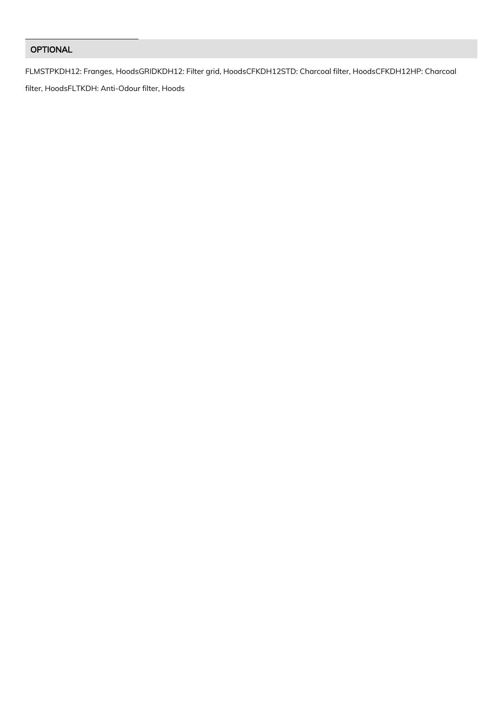## OPTIONAL

FLMSTPKDH12: Franges, HoodsGRIDKDH12: Filter grid, HoodsCFKDH12STD: Charcoal filter, HoodsCFKDH12HP: Charcoal

filter, HoodsFLTKDH: Anti-Odour filter, Hoods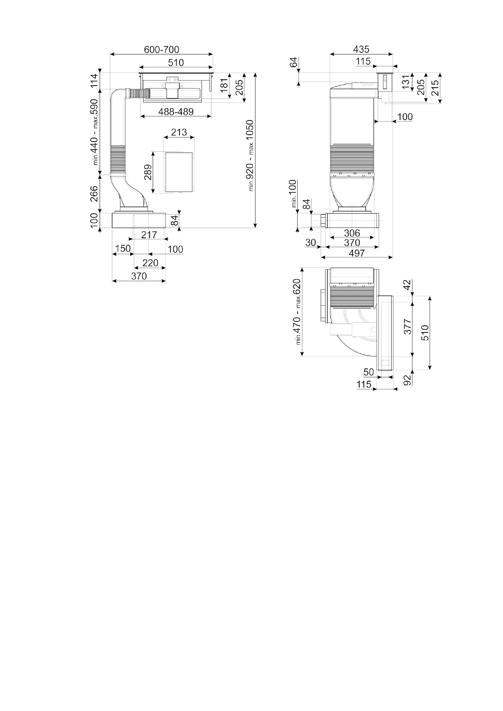